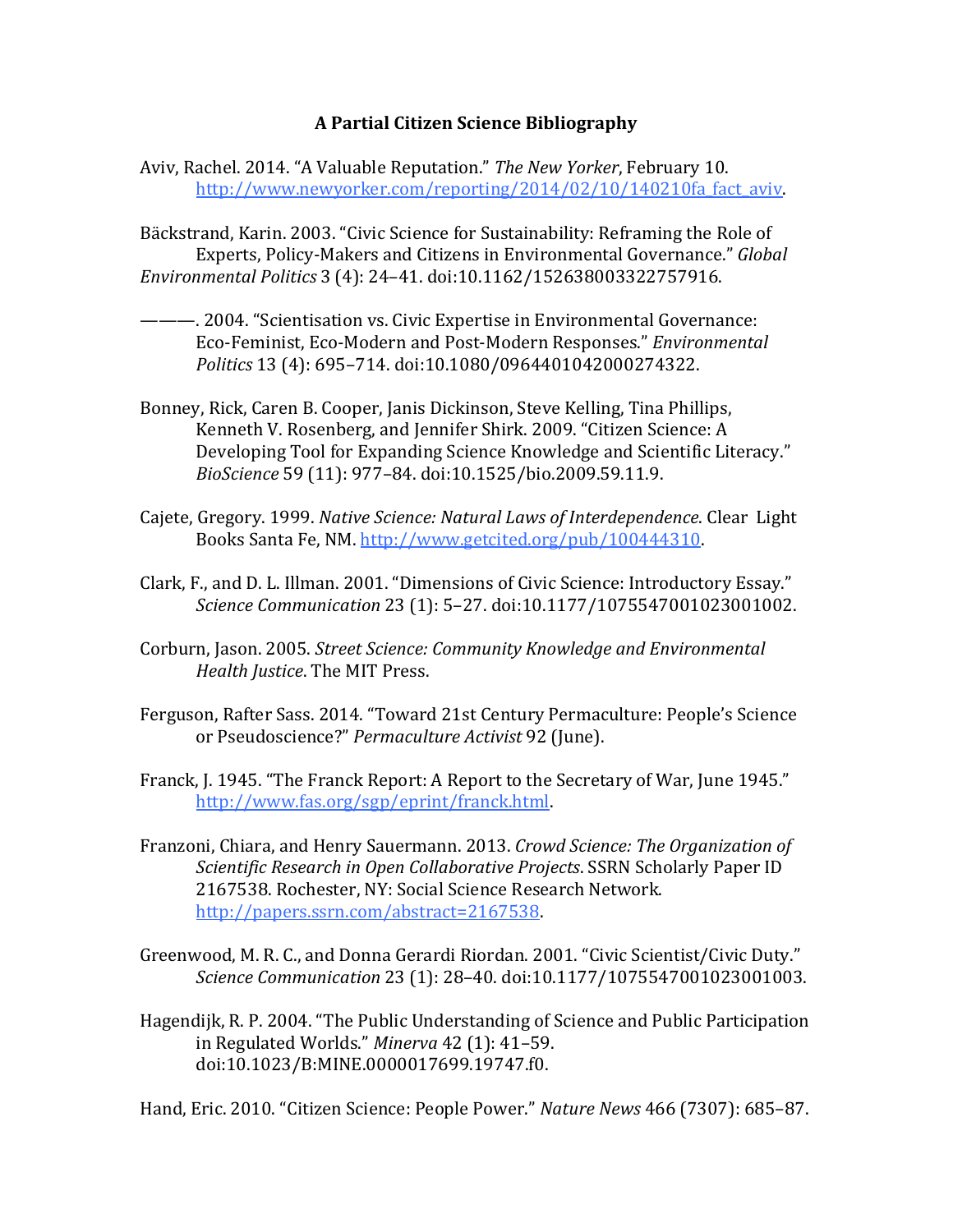## **A Partial Citizen Science Bibliography**

Aviv, Rachel. 2014. "A Valuable Reputation." *The New Yorker*, February 10. http://www.newyorker.com/reporting/2014/02/10/140210fa fact aviv.

Bäckstrand, Karin. 2003. "Civic Science for Sustainability: Reframing the Role of Experts, Policy-Makers and Citizens in Environmental Governance." *Global Environmental Politics* 3 (4): 24–41. doi:10.1162/152638003322757916.

- ———. 2004. "Scientisation vs. Civic Expertise in Environmental Governance: Eco-Feminist, Eco-Modern and Post-Modern Responses." *Environmental Politics* 13 (4): 695–714. doi:10.1080/0964401042000274322.
- Bonney, Rick, Caren B. Cooper, Janis Dickinson, Steve Kelling, Tina Phillips, Kenneth V. Rosenberg, and Jennifer Shirk. 2009. "Citizen Science: A Developing Tool for Expanding Science Knowledge and Scientific Literacy." *BioScience* 59 (11): 977–84. doi:10.1525/bio.2009.59.11.9.
- Cajete, Gregory. 1999. *Native Science: Natural Laws of Interdependence*. Clear Light Books Santa Fe, NM[. http://www.getcited.org/pub/100444310.](http://www.getcited.org/pub/100444310)
- Clark, F., and D. L. Illman. 2001. "Dimensions of Civic Science: Introductory Essay." *Science Communication* 23 (1): 5–27. doi:10.1177/1075547001023001002.
- Corburn, Jason. 2005. *Street Science: Community Knowledge and Environmental Health Justice*. The MIT Press.
- Ferguson, Rafter Sass. 2014. "Toward 21st Century Permaculture: People's Science or Pseudoscience?" *Permaculture Activist* 92 (June).
- Franck, J. 1945. "The Franck Report: A Report to the Secretary of War, June 1945." [http://www.fas.org/sgp/eprint/franck.html.](http://www.fas.org/sgp/eprint/franck.html)
- Franzoni, Chiara, and Henry Sauermann. 2013. *Crowd Science: The Organization of Scientific Research in Open Collaborative Projects*. SSRN Scholarly Paper ID 2167538. Rochester, NY: Social Science Research Network. [http://papers.ssrn.com/abstract=2167538.](http://papers.ssrn.com/abstract=2167538)
- Greenwood, M. R. C., and Donna Gerardi Riordan. 2001. "Civic Scientist/Civic Duty." *Science Communication* 23 (1): 28–40. doi:10.1177/1075547001023001003.
- Hagendijk, R. P. 2004. "The Public Understanding of Science and Public Participation in Regulated Worlds." *Minerva* 42 (1): 41–59. doi:10.1023/B:MINE.0000017699.19747.f0.

Hand, Eric. 2010. "Citizen Science: People Power." *Nature News* 466 (7307): 685–87.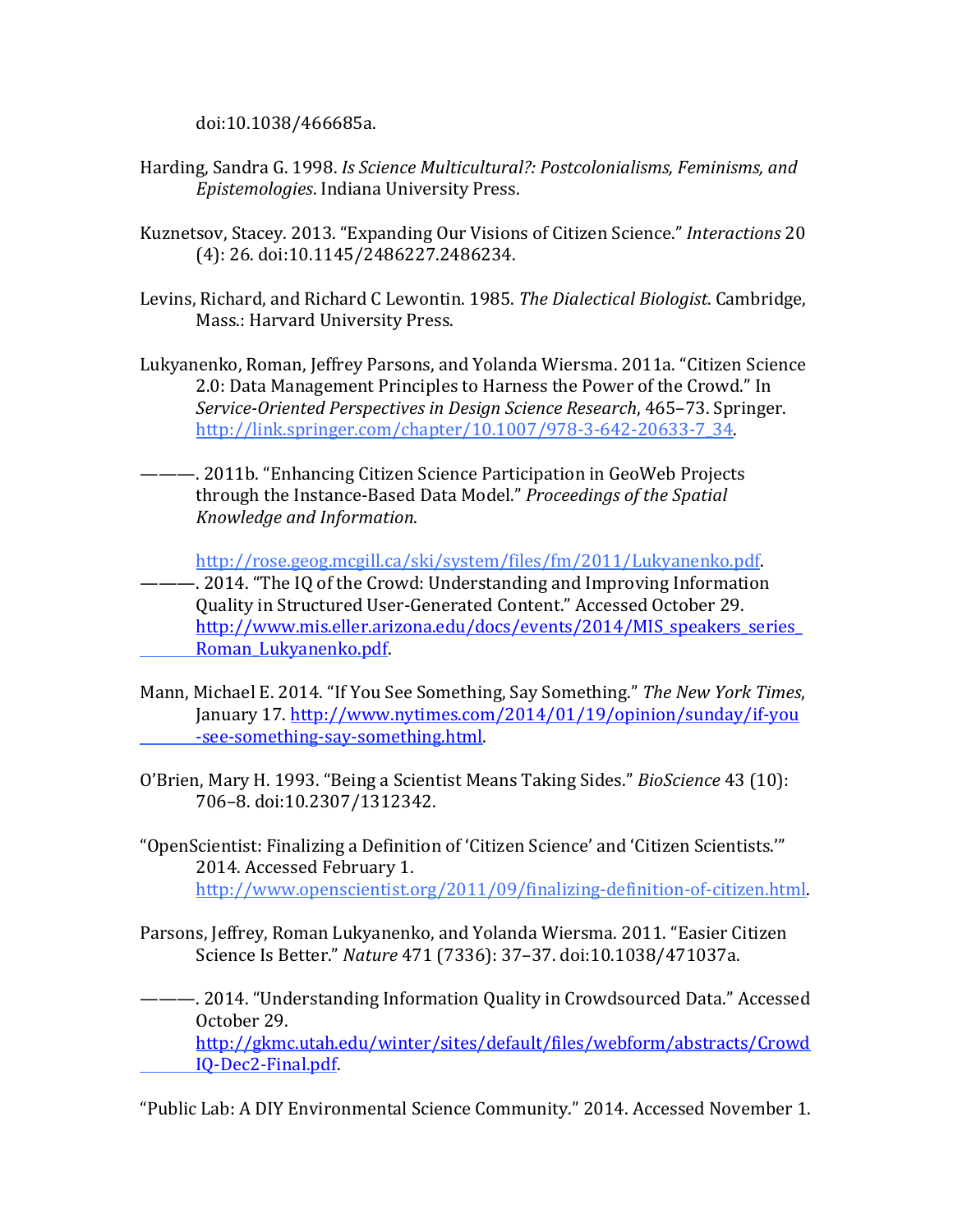doi:10.1038/466685a.

- Harding, Sandra G. 1998. *Is Science Multicultural?: Postcolonialisms, Feminisms, and Epistemologies*. Indiana University Press.
- Kuznetsov, Stacey. 2013. "Expanding Our Visions of Citizen Science." *Interactions* 20 (4): 26. doi:10.1145/2486227.2486234.
- Levins, Richard, and Richard C Lewontin. 1985. *The Dialectical Biologist*. Cambridge, Mass.: Harvard University Press.
- Lukyanenko, Roman, Jeffrey Parsons, and Yolanda Wiersma. 2011a. "Citizen Science 2.0: Data Management Principles to Harness the Power of the Crowd." In *Service-Oriented Perspectives in Design Science Research*, 465–73. Springer. [http://link.springer.com/chapter/10.1007/978-3-642-20633-7\\_34.](http://link.springer.com/chapter/10.1007/978-3-642-20633-7_34)
- ———. 2011b. "Enhancing Citizen Science Participation in GeoWeb Projects through the Instance-Based Data Model." *Proceedings of the Spatial Knowledge and Information*.

[http://rose.geog.mcgill.ca/ski/system/files/fm/2011/Lukyanenko.pdf.](http://rose.geog.mcgill.ca/ski/system/files/fm/2011/Lukyanenko.pdf)

———. 2014. "The IQ of the Crowd: Understanding and Improving Information Quality in Structured User-Generated Content." Accessed October 29. [http://www.mis.eller.arizona.edu/docs/events/2014/MIS\\_speakers\\_series\\_](http://www.mis.eller.arizona.edu/docs/events/2014/MIS_speakers_series_%09Roman_Lukyanenko.pdf) [Roman\\_Lukyanenko.pdf.](http://www.mis.eller.arizona.edu/docs/events/2014/MIS_speakers_series_%09Roman_Lukyanenko.pdf)

- Mann, Michael E. 2014. "If You See Something, Say Something." *The New York Times*, January 17. [http://www.nytimes.com/2014/01/19/opinion/sunday/if-you](http://www.nytimes.com/2014/01/19/opinion/sunday/if-you%09-see-something-say-something.html) [-see-something-say-something.html.](http://www.nytimes.com/2014/01/19/opinion/sunday/if-you%09-see-something-say-something.html)
- O'Brien, Mary H. 1993. "Being a Scientist Means Taking Sides." *BioScience* 43 (10): 706–8. doi:10.2307/1312342.
- "OpenScientist: Finalizing a Definition of 'Citizen Science' and 'Citizen Scientists.'" 2014. Accessed February 1. [http://www.openscientist.org/2011/09/finalizing-definition-of-citizen.html.](http://www.openscientist.org/2011/09/finalizing-definition-of-citizen.html)
- Parsons, Jeffrey, Roman Lukyanenko, and Yolanda Wiersma. 2011. "Easier Citizen Science Is Better." *Nature* 471 (7336): 37–37. doi:10.1038/471037a.
- ———. 2014. "Understanding Information Quality in Crowdsourced Data." Accessed October 29. [http://gkmc.utah.edu/winter/sites/default/files/webform/abstracts/Crowd](http://gkmc.utah.edu/winter/sites/default/files/webform/abstracts/Crowd%09IQ-Dec2-Final.pdf) [IQ-Dec2-Final.pdf.](http://gkmc.utah.edu/winter/sites/default/files/webform/abstracts/Crowd%09IQ-Dec2-Final.pdf)

"Public Lab: A DIY Environmental Science Community." 2014. Accessed November 1.